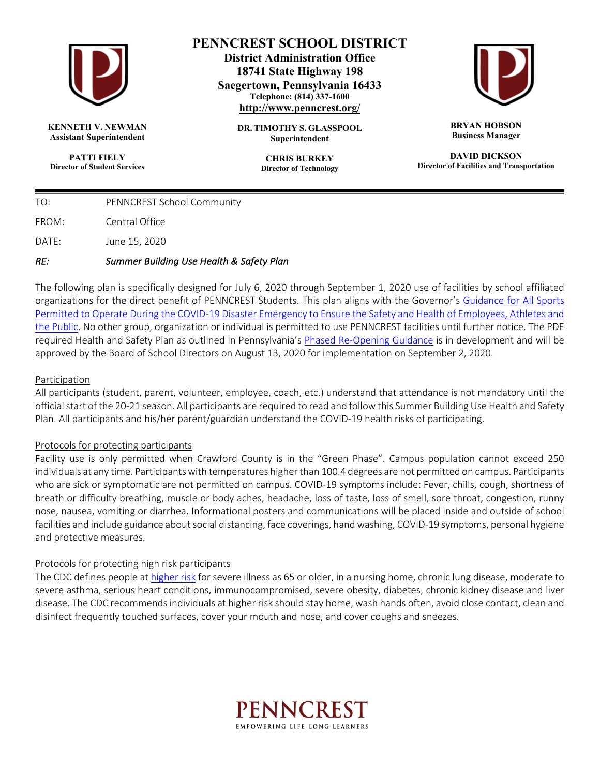

**KENNETH V. NEWMAN Assistant Superintendent**

**PATTI FIELY Director of Student Services**

# **PENNCREST SCHOOL DISTRICT**

**District Administration Office 18741 State Highway 198 Saegertown, Pennsylvania 16433 Telephone: (814) 337-1600 http://www.penncrest.org/**

> **DR. TIMOTHY S. GLASSPOOL Superintendent**

> > **CHRIS BURKEY Director of Technology**



**BRYAN HOBSON Business Manager**

**DAVID DICKSON Director of Facilities and Transportation**

| RF:   | Summer Building Use Health & Safety Plan |
|-------|------------------------------------------|
| DATE: | June 15, 2020                            |
| FROM: | Central Office                           |
| TO:   | PENNCREST School Community               |

The following plan is specifically designed for July 6, 2020 through September 1, 2020 use of facilities by school affiliated organizations for the direct benefit of PENNCREST Students. This plan aligns with the Governor's Guidance for All Sports Permitted to Operate During the COVID-19 Disaster Emergency to Ensure the Safety and Health of Employees, Athletes and the Public. No other group, organization or individual is permitted to use PENNCREST facilities until further notice. The PDE required Health and Safety Plan as outlined in Pennsylvania's Phased Re-Opening Guidance is in development and will be approved by the Board of School Directors on August 13, 2020 for implementation on September 2, 2020.

## Participation

All participants (student, parent, volunteer, employee, coach, etc.) understand that attendance is not mandatory until the official start of the 20-21 season. All participants are required to read and follow this Summer Building Use Health and Safety Plan. All participants and his/her parent/guardian understand the COVID-19 health risks of participating.

#### Protocols for protecting participants

Facility use is only permitted when Crawford County is in the "Green Phase". Campus population cannot exceed 250 individuals at any time. Participants with temperatures higher than 100.4 degrees are not permitted on campus. Participants who are sick or symptomatic are not permitted on campus. COVID-19 symptoms include: Fever, chills, cough, shortness of breath or difficulty breathing, muscle or body aches, headache, loss of taste, loss of smell, sore throat, congestion, runny nose, nausea, vomiting or diarrhea. Informational posters and communications will be placed inside and outside of school facilities and include guidance about social distancing, face coverings, hand washing, COVID-19 symptoms, personal hygiene and protective measures.

#### Protocols for protecting high risk participants

The CDC defines people at higher risk for severe illness as 65 or older, in a nursing home, chronic lung disease, moderate to severe asthma, serious heart conditions, immunocompromised, severe obesity, diabetes, chronic kidney disease and liver disease. The CDC recommends individuals at higher risk should stay home, wash hands often, avoid close contact, clean and disinfect frequently touched surfaces, cover your mouth and nose, and cover coughs and sneezes.